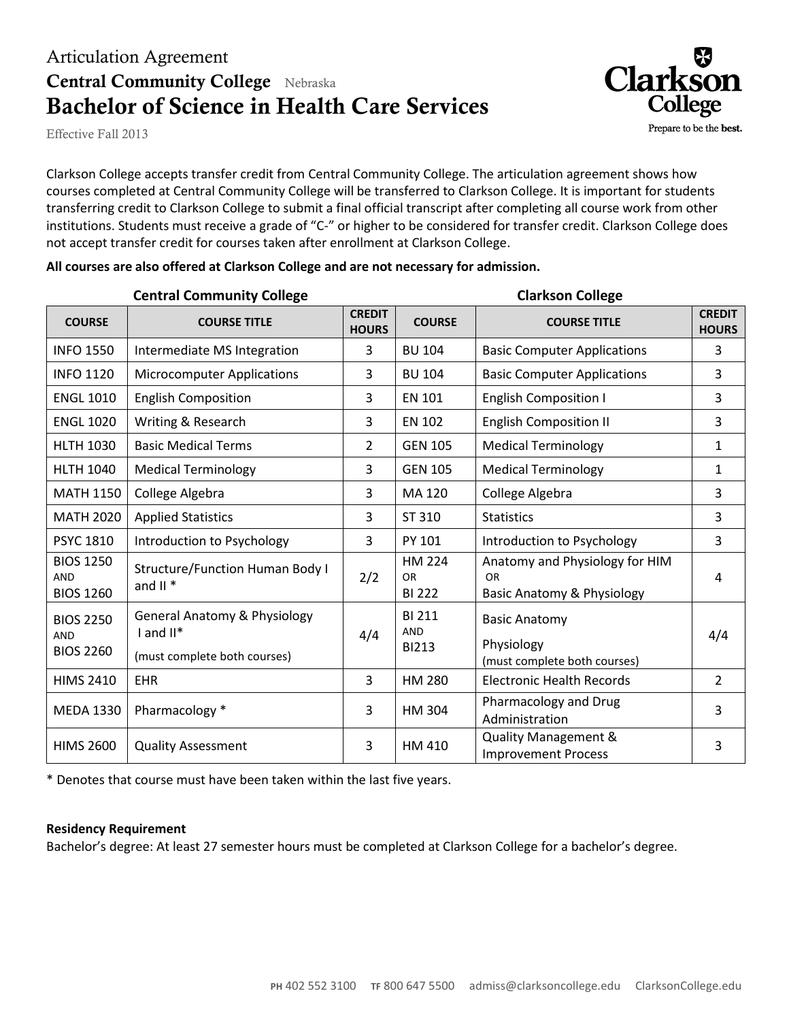## Articulation Agreement **Central Community College** Nebraska **Bachelor of Science in Health Care Services**

Effective Fall 2013

Clarkson College accepts transfer credit from Central Community College. The articulation agreement shows how courses completed at Central Community College will be transferred to Clarkson College. It is important for students transferring credit to Clarkson College to submit a final official transcript after completing all course work from other institutions. Students must receive a grade of "C-" or higher to be considered for transfer credit. Clarkson College does not accept transfer credit for courses taken after enrollment at Clarkson College.

Clarl

Prepare to be the best.

|                                                    | <b>Central Community College</b>                                                          | <b>Clarkson College</b>       |                                                                                                            |                                                                               |                               |  |
|----------------------------------------------------|-------------------------------------------------------------------------------------------|-------------------------------|------------------------------------------------------------------------------------------------------------|-------------------------------------------------------------------------------|-------------------------------|--|
| <b>COURSE</b>                                      | <b>COURSE TITLE</b>                                                                       | <b>CREDIT</b><br><b>HOURS</b> | <b>COURSE</b>                                                                                              | <b>COURSE TITLE</b>                                                           | <b>CREDIT</b><br><b>HOURS</b> |  |
| <b>INFO 1550</b>                                   | Intermediate MS Integration                                                               | 3                             | <b>BU 104</b>                                                                                              | <b>Basic Computer Applications</b>                                            | 3                             |  |
| <b>INFO 1120</b>                                   | <b>Microcomputer Applications</b>                                                         | 3                             | <b>BU 104</b>                                                                                              | <b>Basic Computer Applications</b>                                            | $\overline{3}$                |  |
| <b>ENGL 1010</b>                                   | <b>English Composition</b>                                                                | 3                             | <b>EN 101</b>                                                                                              | <b>English Composition I</b>                                                  | $\overline{3}$                |  |
| <b>ENGL 1020</b>                                   | Writing & Research                                                                        | 3                             | <b>EN 102</b>                                                                                              | <b>English Composition II</b>                                                 | 3                             |  |
| <b>HLTH 1030</b>                                   | <b>Basic Medical Terms</b>                                                                | $\overline{2}$                | <b>GEN 105</b>                                                                                             | <b>Medical Terminology</b>                                                    | $\mathbf{1}$                  |  |
| <b>HLTH 1040</b>                                   | <b>Medical Terminology</b>                                                                | 3                             | <b>GEN 105</b>                                                                                             | <b>Medical Terminology</b>                                                    | $\mathbf{1}$                  |  |
| <b>MATH 1150</b>                                   | College Algebra                                                                           | 3                             | MA 120                                                                                                     | College Algebra                                                               | 3                             |  |
| <b>MATH 2020</b>                                   | <b>Applied Statistics</b>                                                                 | 3                             | ST 310                                                                                                     | <b>Statistics</b>                                                             | 3                             |  |
| <b>PSYC 1810</b>                                   | Introduction to Psychology                                                                | 3                             | PY 101                                                                                                     | Introduction to Psychology                                                    | $\overline{3}$                |  |
| <b>BIOS 1250</b><br><b>AND</b><br><b>BIOS 1260</b> | Structure/Function Human Body I<br>and $II$ *                                             | 2/2                           | HM 224<br><b>OR</b><br><b>BI 222</b>                                                                       | Anatomy and Physiology for HIM<br>OR<br><b>Basic Anatomy &amp; Physiology</b> | 4                             |  |
| <b>BIOS 2250</b><br><b>AND</b><br><b>BIOS 2260</b> | <b>General Anatomy &amp; Physiology</b><br>$I$ and $II^*$<br>(must complete both courses) | 4/4                           | <b>BI 211</b><br><b>Basic Anatomy</b><br>AND<br>Physiology<br><b>BI213</b><br>(must complete both courses) |                                                                               | 4/4                           |  |
| <b>HIMS 2410</b>                                   | <b>EHR</b>                                                                                | 3                             | HM 280                                                                                                     | <b>Electronic Health Records</b>                                              | $\overline{2}$                |  |
| <b>MEDA 1330</b>                                   | Pharmacology *                                                                            | 3                             | HM 304                                                                                                     | Pharmacology and Drug<br>Administration                                       | $\overline{3}$                |  |
| <b>HIMS 2600</b>                                   | <b>Quality Assessment</b>                                                                 | 3                             | HM 410                                                                                                     | <b>Quality Management &amp;</b><br><b>Improvement Process</b>                 | 3                             |  |

#### **All courses are also offered at Clarkson College and are not necessary for admission.**

\* Denotes that course must have been taken within the last five years.

#### **Residency Requirement**

Bachelor's degree: At least 27 semester hours must be completed at Clarkson College for a bachelor's degree.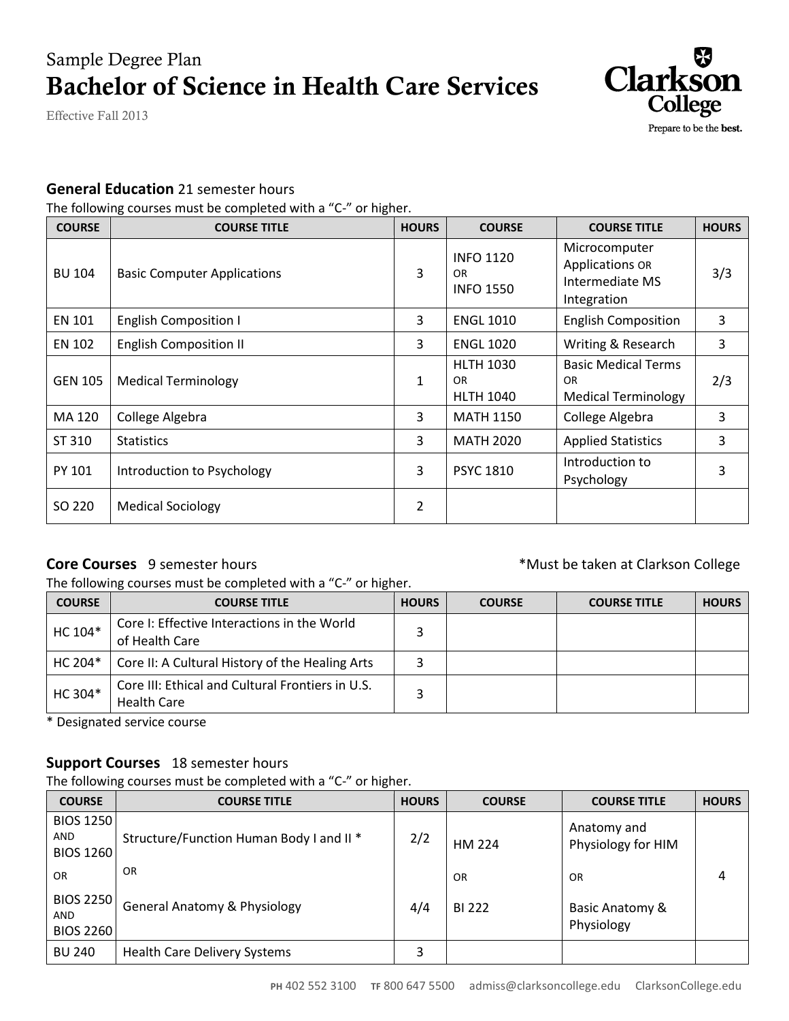# Sample Degree Plan **Bachelor of Science in Health Care Services**

Effective Fall 2013



#### **General Education** 21 semester hours

The following courses must be completed with a "C-" or higher.

| <b>COURSE</b>  | <b>COURSE TITLE</b>                | <b>HOURS</b>   | <b>COURSE</b>                                     | <b>COURSE TITLE</b>                                                       | <b>HOURS</b> |
|----------------|------------------------------------|----------------|---------------------------------------------------|---------------------------------------------------------------------------|--------------|
| <b>BU 104</b>  | <b>Basic Computer Applications</b> | 3              | <b>INFO 1120</b><br>OR.<br><b>INFO 1550</b>       | Microcomputer<br><b>Applications OR</b><br>Intermediate MS<br>Integration | 3/3          |
| <b>EN 101</b>  | <b>English Composition I</b>       | 3              | <b>ENGL 1010</b>                                  | <b>English Composition</b>                                                | 3            |
| EN 102         | <b>English Composition II</b>      | 3              | <b>ENGL 1020</b>                                  | Writing & Research                                                        | 3            |
| <b>GEN 105</b> | <b>Medical Terminology</b>         | $\mathbf{1}$   | <b>HLTH 1030</b><br><b>OR</b><br><b>HLTH 1040</b> | <b>Basic Medical Terms</b><br><b>OR</b><br><b>Medical Terminology</b>     | 2/3          |
| MA 120         | College Algebra                    | 3              | <b>MATH 1150</b>                                  | College Algebra                                                           | 3            |
| ST 310         | <b>Statistics</b>                  | 3              | <b>MATH 2020</b>                                  | <b>Applied Statistics</b>                                                 | 3            |
| PY 101         | Introduction to Psychology         | 3              | <b>PSYC 1810</b>                                  | Introduction to<br>Psychology                                             | 3            |
| SO 220         | <b>Medical Sociology</b>           | $\overline{2}$ |                                                   |                                                                           |              |

#### **Core Courses** 9 semester hours **EXECO ACCES 6 ACCES 6 ACCES 6 ACCES 6 ACCES 6 ACCES 6 ACCES 6 ACCES 6 ACCES 6 ACCES 6 ACCES 6 ACCES 6 ACCES 6 ACCES 6 ACCES 6 ACCES 6 ACCES 6 ACCES 6 ACCES 6 ACCES 6 ACCES 6 ACCES 6 ACCES 6**

The following courses must be completed with a "C-" or higher.

| <b>COURSE</b> | <b>COURSE TITLE</b>                                                    | <b>HOURS</b> | <b>COURSE</b> | <b>COURSE TITLE</b> | <b>HOURS</b> |
|---------------|------------------------------------------------------------------------|--------------|---------------|---------------------|--------------|
| HC 104*       | Core I: Effective Interactions in the World<br>of Health Care          | $\mathbf{r}$ |               |                     |              |
| HC 204*       | Core II: A Cultural History of the Healing Arts                        |              |               |                     |              |
| HC 304*       | Core III: Ethical and Cultural Frontiers in U.S.<br><b>Health Care</b> |              |               |                     |              |

\* Designated service course

### **Support Courses** 18 semester hours

The following courses must be completed with a "C-" or higher.

| <b>COURSE</b>                                      | <b>COURSE TITLE</b>                      | <b>HOURS</b> | <b>COURSE</b> | <b>COURSE TITLE</b>               | <b>HOURS</b> |
|----------------------------------------------------|------------------------------------------|--------------|---------------|-----------------------------------|--------------|
| <b>BIOS 1250</b><br><b>AND</b><br><b>BIOS 1260</b> | Structure/Function Human Body I and II * | 2/2          | HM 224        | Anatomy and<br>Physiology for HIM |              |
| <b>OR</b>                                          | <b>OR</b>                                |              | OR            | OR                                | 4            |
| <b>BIOS 2250</b><br><b>AND</b><br><b>BIOS 2260</b> | <b>General Anatomy &amp; Physiology</b>  | 4/4          | BI 222        | Basic Anatomy &<br>Physiology     |              |
| BU 240                                             | Health Care Delivery Systems             |              |               |                                   |              |